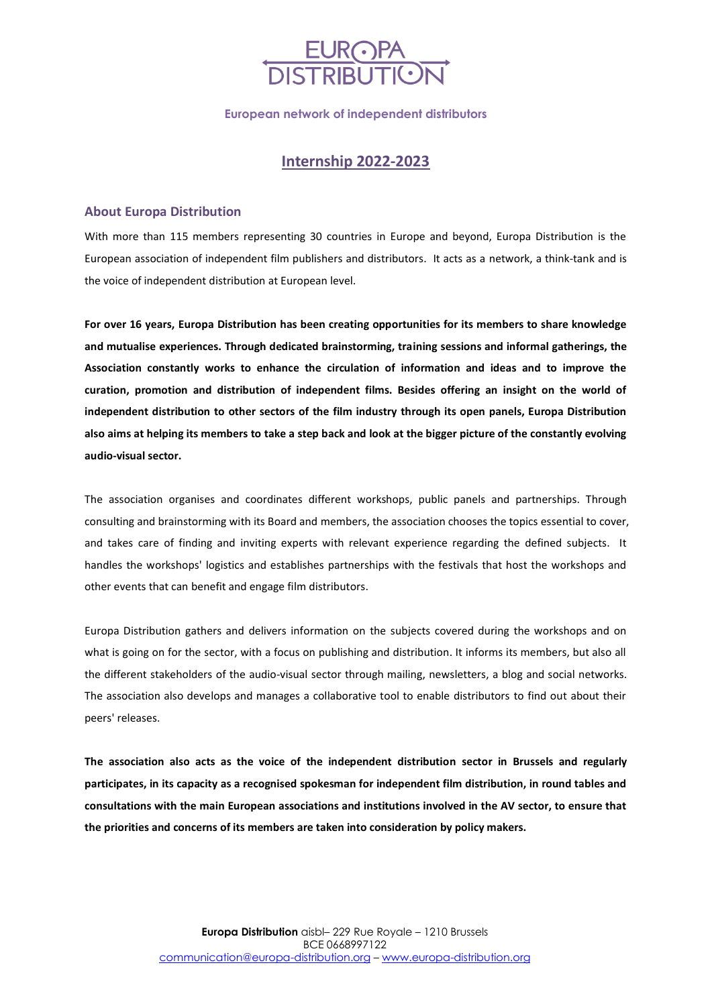

**European network of independent distributors**

# **Internship 2022-2023**

## **About Europa Distribution**

With more than 115 members representing 30 countries in Europe and beyond, Europa Distribution is the European association of independent film publishers and distributors. It acts as a network, a think-tank and is the voice of independent distribution at European level.

**For over 16 years, Europa Distribution has been creating opportunities for its members to share knowledge and mutualise experiences. Through dedicated brainstorming, training sessions and informal gatherings, the Association constantly works to enhance the circulation of information and ideas and to improve the curation, promotion and distribution of independent films. Besides offering an insight on the world of independent distribution to other sectors of the film industry through its open panels, Europa Distribution also aims at helping its members to take a step back and look at the bigger picture of the constantly evolving audio-visual sector.** 

The association organises and coordinates different workshops, public panels and partnerships. Through consulting and brainstorming with its Board and members, the association chooses the topics essential to cover, and takes care of finding and inviting experts with relevant experience regarding the defined subjects. It handles the workshops' logistics and establishes partnerships with the festivals that host the workshops and other events that can benefit and engage film distributors.

Europa Distribution gathers and delivers information on the subjects covered during the workshops and on what is going on for the sector, with a focus on publishing and distribution. It informs its members, but also all the different stakeholders of the audio-visual sector through mailing, newsletters, a blog and social networks. The association also develops and manages a collaborative tool to enable distributors to find out about their peers' releases.

**The association also acts as the voice of the independent distribution sector in Brussels and regularly participates, in its capacity as a recognised spokesman for independent film distribution, in round tables and consultations with the main European associations and institutions involved in the AV sector, to ensure that the priorities and concerns of its members are taken into consideration by policy makers.**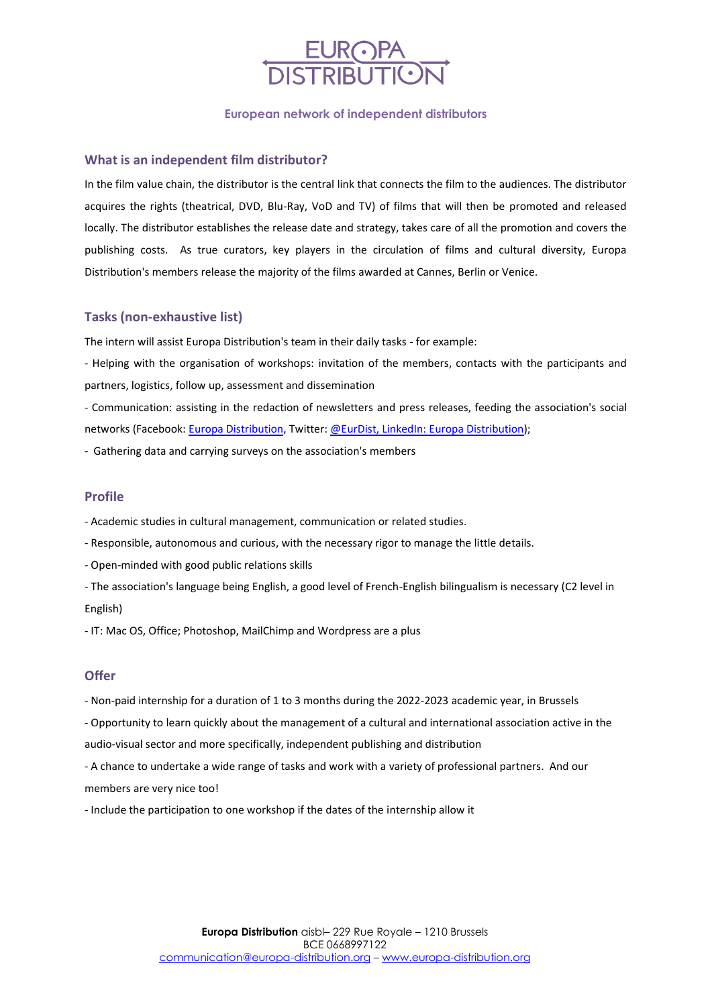

#### **European network of independent distributors**

#### **What is an independent film distributor?**

In the film value chain, the distributor is the central link that connects the film to the audiences. The distributor acquires the rights (theatrical, DVD, Blu-Ray, VoD and TV) of films that will then be promoted and released locally. The distributor establishes the release date and strategy, takes care of all the promotion and covers the publishing costs. As true curators, key players in the circulation of films and cultural diversity, Europa Distribution's members release the majority of the films awarded at Cannes, Berlin or Venice.

### **Tasks (non-exhaustive list)**

The intern will assist Europa Distribution's team in their daily tasks - for example:

- Helping with the organisation of workshops: invitation of the members, contacts with the participants and partners, logistics, follow up, assessment and dissemination

- Communication: assisting in the redaction of newsletters and press releases, feeding the association's social networks (Facebook: [Europa Distribution,](https://www.facebook.com/EuropaDistribution) Twitter: [@EurDist,](https://twitter.com/EurDist) LinkedIn: [Europa Distribution\)](https://www.linkedin.com/company/europa-distribution-association/);

- Gathering data and carrying surveys on the association's members

#### **Profile**

- Academic studies in cultural management, communication or related studies.

- Responsible, autonomous and curious, with the necessary rigor to manage the little details.
- Open-minded with good public relations skills
- The association's language being English, a good level of French-English bilingualism is necessary (C2 level in English)

- IT: Mac OS, Office; Photoshop, MailChimp and Wordpress are a plus

# **Offer**

- Non-paid internship for a duration of 1 to 3 months during the 2022-2023 academic year, in Brussels

- Opportunity to learn quickly about the management of a cultural and international association active in the audio-visual sector and more specifically, independent publishing and distribution

- A chance to undertake a wide range of tasks and work with a variety of professional partners. And our members are very nice too!

- Include the participation to one workshop if the dates of the internship allow it